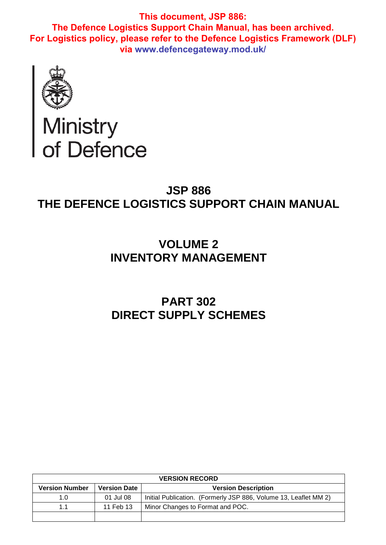

# Ministry<br>of Defence

# **JSP 886 THE DEFENCE LOGISTICS SUPPORT CHAIN MANUAL**

# **VOLUME 2 INVENTORY MANAGEMENT**

# **PART 302 DIRECT SUPPLY SCHEMES**

| <b>VERSION RECORD</b> |                     |                                                                  |  |
|-----------------------|---------------------|------------------------------------------------------------------|--|
| <b>Version Number</b> | <b>Version Date</b> | <b>Version Description</b>                                       |  |
| 1.0                   | 01 Jul 08           | Initial Publication. (Formerly JSP 886, Volume 13, Leaflet MM 2) |  |
| 11                    | 11 Feb 13           | Minor Changes to Format and POC.                                 |  |
|                       |                     |                                                                  |  |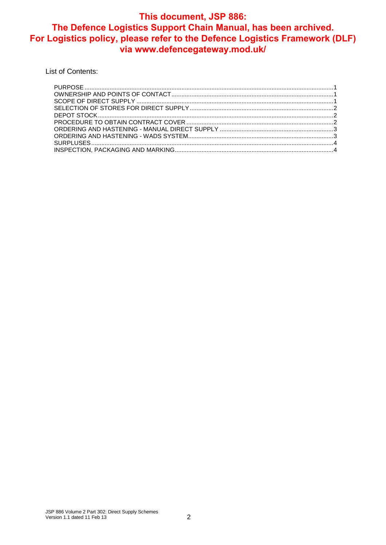List of Contents: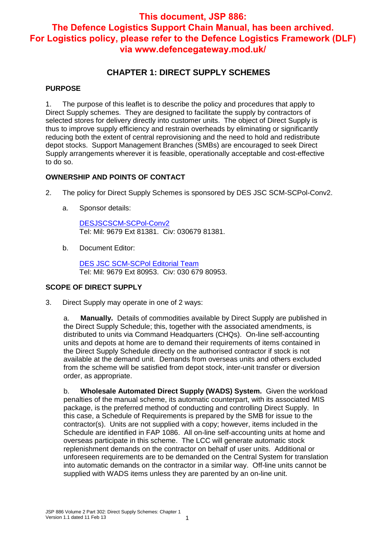### **CHAPTER 1: DIRECT SUPPLY SCHEMES**

#### **PURPOSE**

1. The purpose of this leaflet is to describe the policy and procedures that apply to Direct Supply schemes. They are designed to facilitate the supply by contractors of selected stores for delivery directly into customer units. The object of Direct Supply is thus to improve supply efficiency and restrain overheads by eliminating or significantly reducing both the extent of central reprovisioning and the need to hold and redistribute depot stocks. Support Management Branches (SMBs) are encouraged to seek Direct Supply arrangements wherever it is feasible, operationally acceptable and cost-effective to do so.

#### **OWNERSHIP AND POINTS OF CONTACT**

- 2. The policy for Direct Supply Schemes is sponsored by DES JSC SCM-SCPol-Conv2.
	- a. Sponsor details:

DESJSCSCM-SCPol-Conv2 Tel: Mil: 9679 Ext 81381. Civ: 030679 81381.

b. Document Editor:

DES JSC SCM-SCPol Editorial Team Tel: Mil: 9679 Ext 80953. Civ: 030 679 80953.

#### **SCOPE OF DIRECT SUPPLY**

3. Direct Supply may operate in one of 2 ways:

a. **Manually.** Details of commodities available by Direct Supply are published in the Direct Supply Schedule; this, together with the associated amendments, is distributed to units via Command Headquarters (CHQs). On-line self-accounting units and depots at home are to demand their requirements of items contained in the Direct Supply Schedule directly on the authorised contractor if stock is not available at the demand unit. Demands from overseas units and others excluded from the scheme will be satisfied from depot stock, inter-unit transfer or diversion order, as appropriate.

b. **Wholesale Automated Direct Supply (WADS) System.** Given the workload penalties of the manual scheme, its automatic counterpart, with its associated MIS package, is the preferred method of conducting and controlling Direct Supply. In this case, a Schedule of Requirements is prepared by the SMB for issue to the contractor(s). Units are not supplied with a copy; however, items included in the Schedule are identified in FAP 1086. All on-line self-accounting units at home and overseas participate in this scheme. The LCC will generate automatic stock replenishment demands on the contractor on behalf of user units. Additional or unforeseen requirements are to be demanded on the Central System for translation into automatic demands on the contractor in a similar way. Off-line units cannot be supplied with WADS items unless they are parented by an on-line unit.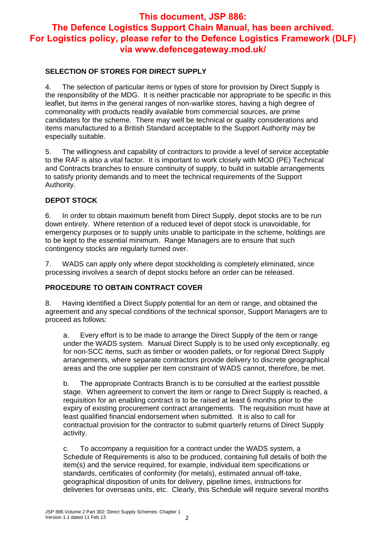#### **SELECTION OF STORES FOR DIRECT SUPPLY**

4. The selection of particular items or types of store for provision by Direct Supply is the responsibility of the MDG. It is neither practicable nor appropriate to be specific in this leaflet, but items in the general ranges of non-warlike stores, having a high degree of commonality with products readily available from commercial sources, are prime candidates for the scheme. There may well be technical or quality considerations and items manufactured to a British Standard acceptable to the Support Authority may be especially suitable.

5. The willingness and capability of contractors to provide a level of service acceptable to the RAF is also a vital factor. It is important to work closely with MOD (PE) Technical and Contracts branches to ensure continuity of supply, to build in suitable arrangements to satisfy priority demands and to meet the technical requirements of the Support Authority.

#### **DEPOT STOCK**

6. In order to obtain maximum benefit from Direct Supply, depot stocks are to be run down entirely. Where retention of a reduced level of depot stock is unavoidable, for emergency purposes or to supply units unable to participate in the scheme, holdings are to be kept to the essential minimum. Range Managers are to ensure that such contingency stocks are regularly turned over.

7. WADS can apply only where depot stockholding is completely eliminated, since processing involves a search of depot stocks before an order can be released.

#### **PROCEDURE TO OBTAIN CONTRACT COVER**

8. Having identified a Direct Supply potential for an item or range, and obtained the agreement and any special conditions of the technical sponsor, Support Managers are to proceed as follows:

a. Every effort is to be made to arrange the Direct Supply of the item or range under the WADS system. Manual Direct Supply is to be used only exceptionally, eg for non-SCC items, such as timber or wooden pallets, or for regional Direct Supply arrangements, where separate contractors provide delivery to discrete geographical areas and the one supplier per item constraint of WADS cannot, therefore, be met.

b. The appropriate Contracts Branch is to be consulted at the earliest possible stage. When agreement to convert the item or range to Direct Supply is reached, a requisition for an enabling contract is to be raised at least 6 months prior to the expiry of existing procurement contract arrangements. The requisition must have at least qualified financial endorsement when submitted. It is also to call for contractual provision for the contractor to submit quarterly returns of Direct Supply activity.

c. To accompany a requisition for a contract under the WADS system, a Schedule of Requirements is also to be produced, containing full details of both the item(s) and the service required, for example, individual item specifications or standards, certificates of conformity (for metals), estimated annual off-take, geographical disposition of units for delivery, pipeline times, instructions for deliveries for overseas units, etc. Clearly, this Schedule will require several months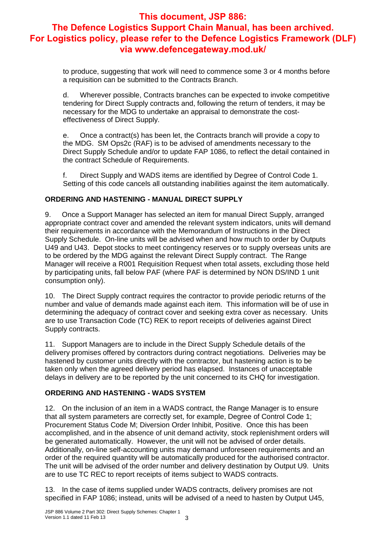to produce, suggesting that work will need to commence some 3 or 4 months before a requisition can be submitted to the Contracts Branch.

d. Wherever possible, Contracts branches can be expected to invoke competitive tendering for Direct Supply contracts and, following the return of tenders, it may be necessary for the MDG to undertake an appraisal to demonstrate the costeffectiveness of Direct Supply.

e. Once a contract(s) has been let, the Contracts branch will provide a copy to the MDG. SM Ops2c (RAF) is to be advised of amendments necessary to the Direct Supply Schedule and/or to update FAP 1086, to reflect the detail contained in the contract Schedule of Requirements.

f. Direct Supply and WADS items are identified by Degree of Control Code 1. Setting of this code cancels all outstanding inabilities against the item automatically.

#### **ORDERING AND HASTENING - MANUAL DIRECT SUPPLY**

9. Once a Support Manager has selected an item for manual Direct Supply, arranged appropriate contract cover and amended the relevant system indicators, units will demand their requirements in accordance with the Memorandum of Instructions in the Direct Supply Schedule. On-line units will be advised when and how much to order by Outputs U49 and U43. Depot stocks to meet contingency reserves or to supply overseas units are to be ordered by the MDG against the relevant Direct Supply contract. The Range Manager will receive a R001 Requisition Request when total assets, excluding those held by participating units, fall below PAF (where PAF is determined by NON DS/IND 1 unit consumption only).

10. The Direct Supply contract requires the contractor to provide periodic returns of the number and value of demands made against each item. This information will be of use in determining the adequacy of contract cover and seeking extra cover as necessary. Units are to use Transaction Code (TC) REK to report receipts of deliveries against Direct Supply contracts.

11. Support Managers are to include in the Direct Supply Schedule details of the delivery promises offered by contractors during contract negotiations. Deliveries may be hastened by customer units directly with the contractor, but hastening action is to be taken only when the agreed delivery period has elapsed. Instances of unacceptable delays in delivery are to be reported by the unit concerned to its CHQ for investigation.

#### **ORDERING AND HASTENING - WADS SYSTEM**

12. On the inclusion of an item in a WADS contract, the Range Manager is to ensure that all system parameters are correctly set, for example, Degree of Control Code 1; Procurement Status Code M; Diversion Order Inhibit, Positive. Once this has been accomplished, and in the absence of unit demand activity, stock replenishment orders will be generated automatically. However, the unit will not be advised of order details. Additionally, on-line self-accounting units may demand unforeseen requirements and an order of the required quantity will be automatically produced for the authorised contractor. The unit will be advised of the order number and delivery destination by Output U9. Units are to use TC REC to report receipts of items subject to WADS contracts.

13. In the case of items supplied under WADS contracts, delivery promises are not specified in FAP 1086; instead, units will be advised of a need to hasten by Output U45,